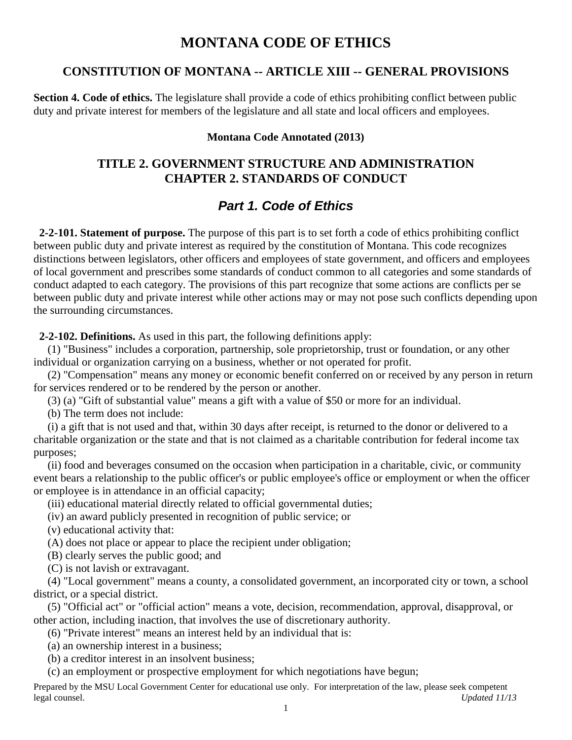# **MONTANA CODE OF ETHICS**

## **CONSTITUTION OF MONTANA -- ARTICLE XIII -- GENERAL PROVISIONS**

**Section 4. Code of ethics.** The legislature shall provide a code of ethics prohibiting conflict between public duty and private interest for members of the legislature and all state and local officers and employees.

#### **Montana Code Annotated (2013)**

# **TITLE 2. GOVERNMENT STRUCTURE AND ADMINISTRATION CHAPTER 2. STANDARDS OF CONDUCT**

# *Part 1. Code of Ethics*

 **2-2-101. Statement of purpose.** The purpose of this part is to set forth a code of ethics prohibiting conflict between public duty and private interest as required by the constitution of Montana. This code recognizes distinctions between legislators, other officers and employees of state government, and officers and employees of local government and prescribes some standards of conduct common to all categories and some standards of conduct adapted to each category. The provisions of this part recognize that some actions are conflicts per se between public duty and private interest while other actions may or may not pose such conflicts depending upon the surrounding circumstances.

**2-2-102. Definitions.** As used in this part, the following definitions apply:

 (1) "Business" includes a corporation, partnership, sole proprietorship, trust or foundation, or any other individual or organization carrying on a business, whether or not operated for profit.

 (2) "Compensation" means any money or economic benefit conferred on or received by any person in return for services rendered or to be rendered by the person or another.

(3) (a) "Gift of substantial value" means a gift with a value of \$50 or more for an individual.

(b) The term does not include:

 (i) a gift that is not used and that, within 30 days after receipt, is returned to the donor or delivered to a charitable organization or the state and that is not claimed as a charitable contribution for federal income tax purposes;

 (ii) food and beverages consumed on the occasion when participation in a charitable, civic, or community event bears a relationship to the public officer's or public employee's office or employment or when the officer or employee is in attendance in an official capacity;

(iii) educational material directly related to official governmental duties;

(iv) an award publicly presented in recognition of public service; or

(v) educational activity that:

(A) does not place or appear to place the recipient under obligation;

(B) clearly serves the public good; and

(C) is not lavish or extravagant.

 (4) "Local government" means a county, a consolidated government, an incorporated city or town, a school district, or a special district.

 (5) "Official act" or "official action" means a vote, decision, recommendation, approval, disapproval, or other action, including inaction, that involves the use of discretionary authority.

(6) "Private interest" means an interest held by an individual that is:

(a) an ownership interest in a business;

(b) a creditor interest in an insolvent business;

(c) an employment or prospective employment for which negotiations have begun;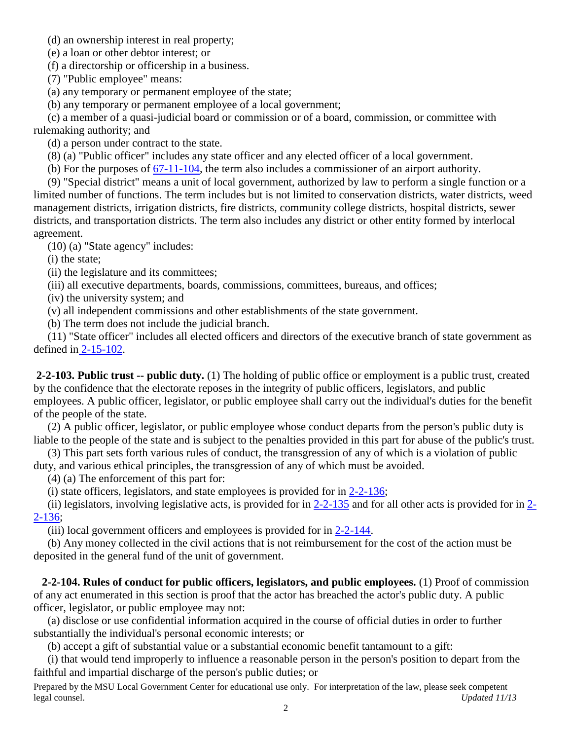(d) an ownership interest in real property;

(e) a loan or other debtor interest; or

(f) a directorship or officership in a business.

(7) "Public employee" means:

(a) any temporary or permanent employee of the state;

(b) any temporary or permanent employee of a local government;

 (c) a member of a quasi-judicial board or commission or of a board, commission, or committee with rulemaking authority; and

(d) a person under contract to the state.

(8) (a) "Public officer" includes any state officer and any elected officer of a local government.

(b) For the purposes of [67-11-104,](http://leg.mt.gov/bills/mca/67/11/67-11-104.htm) the term also includes a commissioner of an airport authority.

 (9) "Special district" means a unit of local government, authorized by law to perform a single function or a limited number of functions. The term includes but is not limited to conservation districts, water districts, weed management districts, irrigation districts, fire districts, community college districts, hospital districts, sewer districts, and transportation districts. The term also includes any district or other entity formed by interlocal agreement.

(10) (a) "State agency" includes:

(i) the state;

(ii) the legislature and its committees;

(iii) all executive departments, boards, commissions, committees, bureaus, and offices;

(iv) the university system; and

(v) all independent commissions and other establishments of the state government.

(b) The term does not include the judicial branch.

 (11) "State officer" includes all elected officers and directors of the executive branch of state government as defined in [2-15-102.](http://leg.mt.gov/bills/mca/2/15/2-15-102.htm)

**2-2-103. Public trust -- public duty.** (1) The holding of public office or employment is a public trust, created by the confidence that the electorate reposes in the integrity of public officers, legislators, and public employees. A public officer, legislator, or public employee shall carry out the individual's duties for the benefit of the people of the state.

 (2) A public officer, legislator, or public employee whose conduct departs from the person's public duty is liable to the people of the state and is subject to the penalties provided in this part for abuse of the public's trust.

 (3) This part sets forth various rules of conduct, the transgression of any of which is a violation of public duty, and various ethical principles, the transgression of any of which must be avoided.

(4) (a) The enforcement of this part for:

(i) state officers, legislators, and state employees is provided for in [2-2-136;](http://leg.mt.gov/bills/mca/2/2/2-2-136.htm)

(ii) legislators, involving legislative acts, is provided for in  $2-2-135$  and for all other acts is provided for in  $2-$ [2-136;](http://leg.mt.gov/bills/mca/2/2/2-2-136.htm)

(iii) local government officers and employees is provided for in [2-2-144.](http://leg.mt.gov/bills/mca/2/2/2-2-144.htm)

 (b) Any money collected in the civil actions that is not reimbursement for the cost of the action must be deposited in the general fund of the unit of government.

 **2-2-104. Rules of conduct for public officers, legislators, and public employees.** (1) Proof of commission of any act enumerated in this section is proof that the actor has breached the actor's public duty. A public officer, legislator, or public employee may not:

 (a) disclose or use confidential information acquired in the course of official duties in order to further substantially the individual's personal economic interests; or

(b) accept a gift of substantial value or a substantial economic benefit tantamount to a gift:

 (i) that would tend improperly to influence a reasonable person in the person's position to depart from the faithful and impartial discharge of the person's public duties; or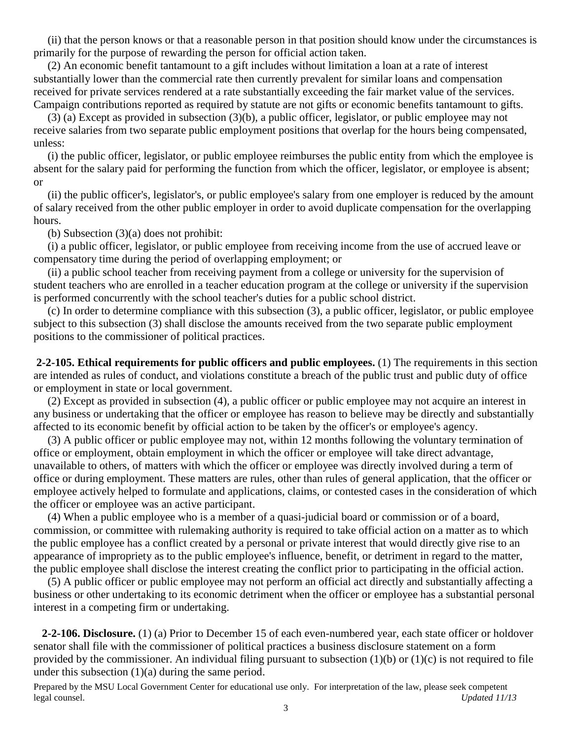(ii) that the person knows or that a reasonable person in that position should know under the circumstances is primarily for the purpose of rewarding the person for official action taken.

 (2) An economic benefit tantamount to a gift includes without limitation a loan at a rate of interest substantially lower than the commercial rate then currently prevalent for similar loans and compensation received for private services rendered at a rate substantially exceeding the fair market value of the services. Campaign contributions reported as required by statute are not gifts or economic benefits tantamount to gifts.

 (3) (a) Except as provided in subsection (3)(b), a public officer, legislator, or public employee may not receive salaries from two separate public employment positions that overlap for the hours being compensated, unless:

 (i) the public officer, legislator, or public employee reimburses the public entity from which the employee is absent for the salary paid for performing the function from which the officer, legislator, or employee is absent; or

 (ii) the public officer's, legislator's, or public employee's salary from one employer is reduced by the amount of salary received from the other public employer in order to avoid duplicate compensation for the overlapping hours.

(b) Subsection (3)(a) does not prohibit:

 (i) a public officer, legislator, or public employee from receiving income from the use of accrued leave or compensatory time during the period of overlapping employment; or

 (ii) a public school teacher from receiving payment from a college or university for the supervision of student teachers who are enrolled in a teacher education program at the college or university if the supervision is performed concurrently with the school teacher's duties for a public school district.

 (c) In order to determine compliance with this subsection (3), a public officer, legislator, or public employee subject to this subsection (3) shall disclose the amounts received from the two separate public employment positions to the commissioner of political practices.

**2-2-105. Ethical requirements for public officers and public employees.** (1) The requirements in this section are intended as rules of conduct, and violations constitute a breach of the public trust and public duty of office or employment in state or local government.

 (2) Except as provided in subsection (4), a public officer or public employee may not acquire an interest in any business or undertaking that the officer or employee has reason to believe may be directly and substantially affected to its economic benefit by official action to be taken by the officer's or employee's agency.

 (3) A public officer or public employee may not, within 12 months following the voluntary termination of office or employment, obtain employment in which the officer or employee will take direct advantage, unavailable to others, of matters with which the officer or employee was directly involved during a term of office or during employment. These matters are rules, other than rules of general application, that the officer or employee actively helped to formulate and applications, claims, or contested cases in the consideration of which the officer or employee was an active participant.

 (4) When a public employee who is a member of a quasi-judicial board or commission or of a board, commission, or committee with rulemaking authority is required to take official action on a matter as to which the public employee has a conflict created by a personal or private interest that would directly give rise to an appearance of impropriety as to the public employee's influence, benefit, or detriment in regard to the matter, the public employee shall disclose the interest creating the conflict prior to participating in the official action.

 (5) A public officer or public employee may not perform an official act directly and substantially affecting a business or other undertaking to its economic detriment when the officer or employee has a substantial personal interest in a competing firm or undertaking.

 **2-2-106. Disclosure.** (1) (a) Prior to December 15 of each even-numbered year, each state officer or holdover senator shall file with the commissioner of political practices a business disclosure statement on a form provided by the commissioner. An individual filing pursuant to subsection  $(1)(b)$  or  $(1)(c)$  is not required to file under this subsection  $(1)(a)$  during the same period.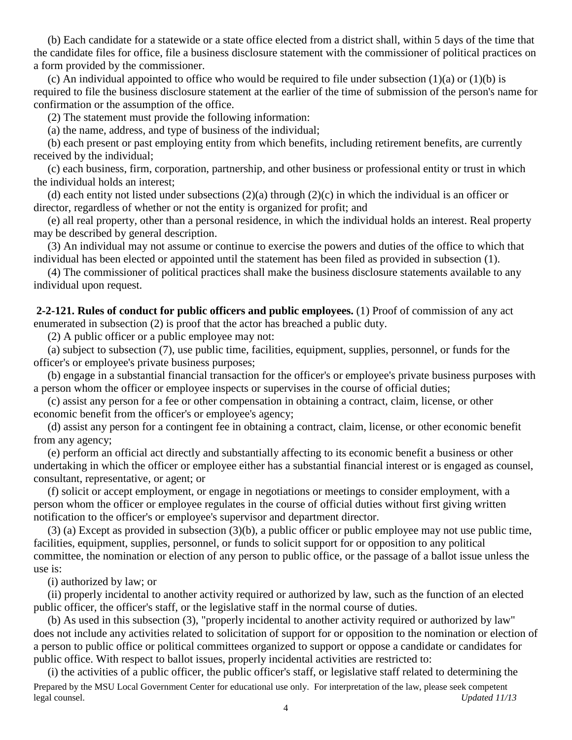(b) Each candidate for a statewide or a state office elected from a district shall, within 5 days of the time that the candidate files for office, file a business disclosure statement with the commissioner of political practices on a form provided by the commissioner.

(c) An individual appointed to office who would be required to file under subsection  $(1)(a)$  or  $(1)(b)$  is required to file the business disclosure statement at the earlier of the time of submission of the person's name for confirmation or the assumption of the office.

(2) The statement must provide the following information:

(a) the name, address, and type of business of the individual;

 (b) each present or past employing entity from which benefits, including retirement benefits, are currently received by the individual;

 (c) each business, firm, corporation, partnership, and other business or professional entity or trust in which the individual holds an interest;

 (d) each entity not listed under subsections (2)(a) through (2)(c) in which the individual is an officer or director, regardless of whether or not the entity is organized for profit; and

 (e) all real property, other than a personal residence, in which the individual holds an interest. Real property may be described by general description.

 (3) An individual may not assume or continue to exercise the powers and duties of the office to which that individual has been elected or appointed until the statement has been filed as provided in subsection (1).

 (4) The commissioner of political practices shall make the business disclosure statements available to any individual upon request.

**2-2-121. Rules of conduct for public officers and public employees.** (1) Proof of commission of any act enumerated in subsection (2) is proof that the actor has breached a public duty.

(2) A public officer or a public employee may not:

 (a) subject to subsection (7), use public time, facilities, equipment, supplies, personnel, or funds for the officer's or employee's private business purposes;

 (b) engage in a substantial financial transaction for the officer's or employee's private business purposes with a person whom the officer or employee inspects or supervises in the course of official duties;

 (c) assist any person for a fee or other compensation in obtaining a contract, claim, license, or other economic benefit from the officer's or employee's agency;

 (d) assist any person for a contingent fee in obtaining a contract, claim, license, or other economic benefit from any agency;

 (e) perform an official act directly and substantially affecting to its economic benefit a business or other undertaking in which the officer or employee either has a substantial financial interest or is engaged as counsel, consultant, representative, or agent; or

 (f) solicit or accept employment, or engage in negotiations or meetings to consider employment, with a person whom the officer or employee regulates in the course of official duties without first giving written notification to the officer's or employee's supervisor and department director.

 (3) (a) Except as provided in subsection (3)(b), a public officer or public employee may not use public time, facilities, equipment, supplies, personnel, or funds to solicit support for or opposition to any political committee, the nomination or election of any person to public office, or the passage of a ballot issue unless the use is:

(i) authorized by law; or

 (ii) properly incidental to another activity required or authorized by law, such as the function of an elected public officer, the officer's staff, or the legislative staff in the normal course of duties.

 (b) As used in this subsection (3), "properly incidental to another activity required or authorized by law" does not include any activities related to solicitation of support for or opposition to the nomination or election of a person to public office or political committees organized to support or oppose a candidate or candidates for public office. With respect to ballot issues, properly incidental activities are restricted to:

Prepared by the MSU Local Government Center for educational use only. For interpretation of the law, please seek competent legal counsel. *Updated 11/13* (i) the activities of a public officer, the public officer's staff, or legislative staff related to determining the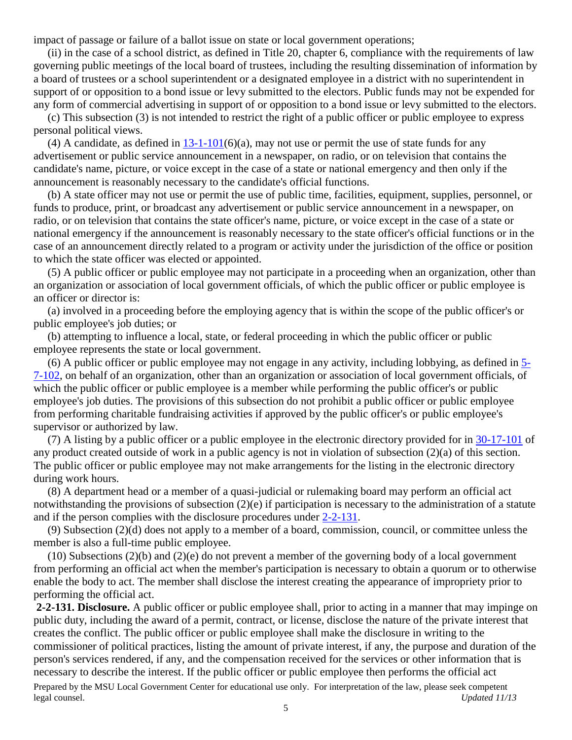impact of passage or failure of a ballot issue on state or local government operations;

 (ii) in the case of a school district, as defined in Title 20, chapter 6, compliance with the requirements of law governing public meetings of the local board of trustees, including the resulting dissemination of information by a board of trustees or a school superintendent or a designated employee in a district with no superintendent in support of or opposition to a bond issue or levy submitted to the electors. Public funds may not be expended for any form of commercial advertising in support of or opposition to a bond issue or levy submitted to the electors.

 (c) This subsection (3) is not intended to restrict the right of a public officer or public employee to express personal political views.

(4) A candidate, as defined in  $13-1-101(6)(a)$ , may not use or permit the use of state funds for any advertisement or public service announcement in a newspaper, on radio, or on television that contains the candidate's name, picture, or voice except in the case of a state or national emergency and then only if the announcement is reasonably necessary to the candidate's official functions.

 (b) A state officer may not use or permit the use of public time, facilities, equipment, supplies, personnel, or funds to produce, print, or broadcast any advertisement or public service announcement in a newspaper, on radio, or on television that contains the state officer's name, picture, or voice except in the case of a state or national emergency if the announcement is reasonably necessary to the state officer's official functions or in the case of an announcement directly related to a program or activity under the jurisdiction of the office or position to which the state officer was elected or appointed.

 (5) A public officer or public employee may not participate in a proceeding when an organization, other than an organization or association of local government officials, of which the public officer or public employee is an officer or director is:

 (a) involved in a proceeding before the employing agency that is within the scope of the public officer's or public employee's job duties; or

 (b) attempting to influence a local, state, or federal proceeding in which the public officer or public employee represents the state or local government.

 (6) A public officer or public employee may not engage in any activity, including lobbying, as defined in [5-](http://leg.mt.gov/bills/mca/5/7/5-7-102.htm) [7-102,](http://leg.mt.gov/bills/mca/5/7/5-7-102.htm) on behalf of an organization, other than an organization or association of local government officials, of which the public officer or public employee is a member while performing the public officer's or public employee's job duties. The provisions of this subsection do not prohibit a public officer or public employee from performing charitable fundraising activities if approved by the public officer's or public employee's supervisor or authorized by law.

 (7) A listing by a public officer or a public employee in the electronic directory provided for in [30-17-101](http://leg.mt.gov/bills/mca/30/17/30-17-101.htm) of any product created outside of work in a public agency is not in violation of subsection (2)(a) of this section. The public officer or public employee may not make arrangements for the listing in the electronic directory during work hours.

 (8) A department head or a member of a quasi-judicial or rulemaking board may perform an official act notwithstanding the provisions of subsection (2)(e) if participation is necessary to the administration of a statute and if the person complies with the disclosure procedures under [2-2-131.](http://leg.mt.gov/bills/mca/2/2/2-2-131.htm)

 (9) Subsection (2)(d) does not apply to a member of a board, commission, council, or committee unless the member is also a full-time public employee.

 (10) Subsections (2)(b) and (2)(e) do not prevent a member of the governing body of a local government from performing an official act when the member's participation is necessary to obtain a quorum or to otherwise enable the body to act. The member shall disclose the interest creating the appearance of impropriety prior to performing the official act.

Prepared by the MSU Local Government Center for educational use only. For interpretation of the law, please seek competent legal counsel. *Updated 11/13* **2-2-131. Disclosure.** A public officer or public employee shall, prior to acting in a manner that may impinge on public duty, including the award of a permit, contract, or license, disclose the nature of the private interest that creates the conflict. The public officer or public employee shall make the disclosure in writing to the commissioner of political practices, listing the amount of private interest, if any, the purpose and duration of the person's services rendered, if any, and the compensation received for the services or other information that is necessary to describe the interest. If the public officer or public employee then performs the official act